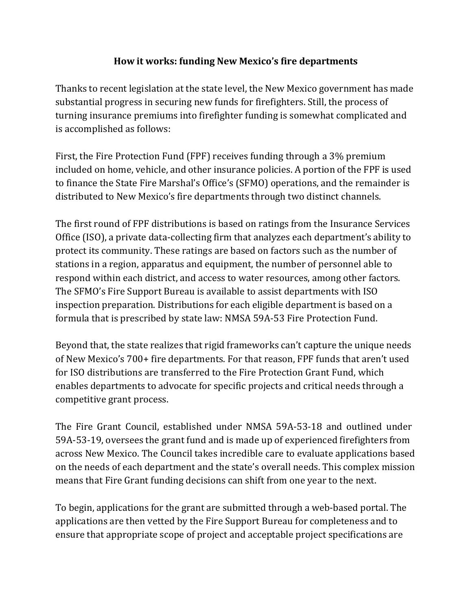## **How it works: funding New Mexico's fire departments**

Thanks to recent legislation at the state level, the New Mexico government has made substantial progress in securing new funds for firefighters. Still, the process of turning insurance premiums into firefighter funding is somewhat complicated and is accomplished as follows:

First, the Fire Protection Fund (FPF) receives funding through a 3% premium included on home, vehicle, and other insurance policies. A portion of the FPF is used to finance the State Fire Marshal's Office's (SFMO) operations, and the remainder is distributed to New Mexico's fire departments through two distinct channels.

The first round of FPF distributions is based on ratings from the Insurance Services Office (ISO), a private data-collecting firm that analyzes each department's ability to protect its community. These ratings are based on factors such as the number of stations in a region, apparatus and equipment, the number of personnel able to respond within each district, and access to water resources, among other factors. The SFMO's Fire Support Bureau is available to assist departments with ISO inspection preparation. Distributions for each eligible department is based on a formula that is prescribed by state law: NMSA 59A-53 Fire Protection Fund.

Beyond that, the state realizes that rigid frameworks can't capture the unique needs of New Mexico's 700+ fire departments. For that reason, FPF funds that aren't used for ISO distributions are transferred to the Fire Protection Grant Fund, which enables departments to advocate for specific projects and critical needs through a competitive grant process.

The Fire Grant Council, established under NMSA 59A-53-18 and outlined under 59A-53-19, oversees the grant fund and is made up of experienced firefighters from across New Mexico. The Council takes incredible care to evaluate applications based on the needs of each department and the state's overall needs. This complex mission means that Fire Grant funding decisions can shift from one year to the next.

To begin, applications for the grant are submitted through a web-based portal. The applications are then vetted by the Fire Support Bureau for completeness and to ensure that appropriate scope of project and acceptable project specifications are